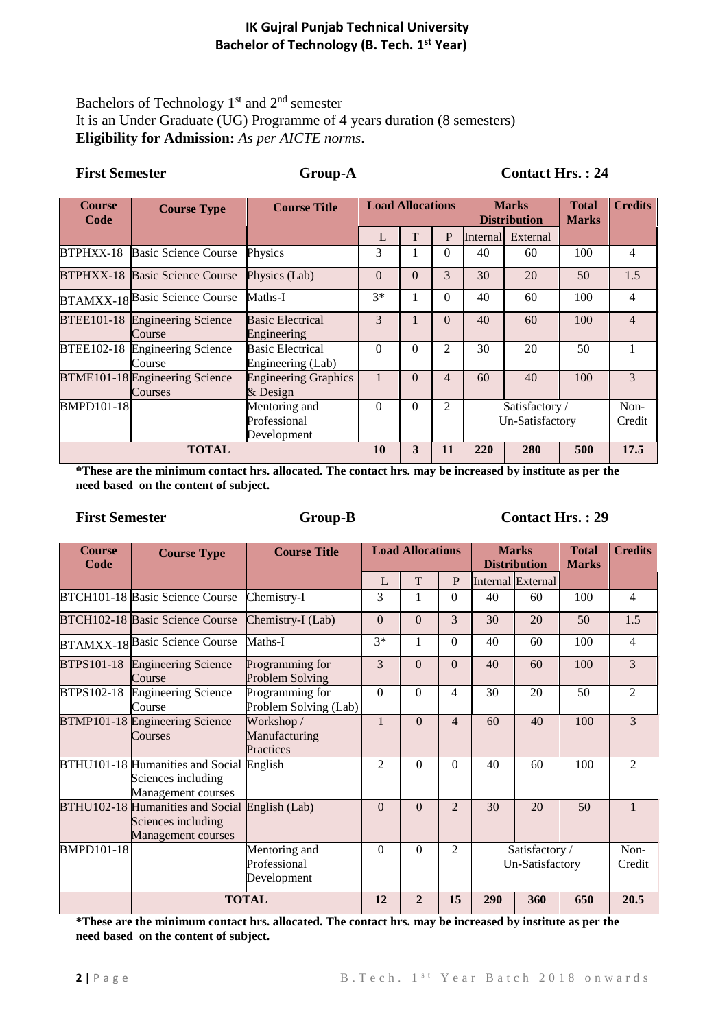### **IK Gujral Punjab Technical University Bachelor of Technology (B. Tech. 1st Year)**

# Bachelors of Technology  $1<sup>st</sup>$  and  $2<sup>nd</sup>$  semester It is an Under Graduate (UG) Programme of 4 years duration (8 semesters) **Eligibility for Admission:** *As per AICTE norms*.

| <b>First Semester</b> |                                           | <b>Group-A</b>                               |                         |              |                | <b>Contact Hrs.: 24</b>           |                                     |                              |                |  |
|-----------------------|-------------------------------------------|----------------------------------------------|-------------------------|--------------|----------------|-----------------------------------|-------------------------------------|------------------------------|----------------|--|
| <b>Course</b><br>Code | <b>Course Type</b>                        | <b>Course Title</b>                          | <b>Load Allocations</b> |              |                |                                   | <b>Marks</b><br><b>Distribution</b> | <b>Total</b><br><b>Marks</b> | <b>Credits</b> |  |
|                       |                                           |                                              | L                       | $\mathbf T$  | $\mathbf{P}$   |                                   | Internal External                   |                              |                |  |
| BTPHXX-18             | <b>Basic Science Course</b>               | Physics                                      | 3                       | 1            | $\theta$       | 40                                | 60                                  | 100                          | 4              |  |
|                       | <b>BTPHXX-18 Basic Science Course</b>     | Physics (Lab)                                | $\Omega$                | $\Omega$     | 3              | 30                                | 20                                  | 50                           | 1.5            |  |
|                       | BTAMXX-18 Basic Science Course            | Maths-I                                      | $3*$                    | 1            | $\theta$       | 40                                | 60                                  | 100                          | 4              |  |
| <b>BTEE101-18</b>     | <b>Engineering Science</b><br>Course      | <b>Basic Electrical</b><br>Engineering       | 3                       | $\mathbf{1}$ | $\Omega$       | 40                                | 60                                  | 100                          | $\overline{4}$ |  |
|                       | BTEE102-18 Engineering Science<br>Course  | <b>Basic Electrical</b><br>Engineering (Lab) | $\Omega$                | $\Omega$     | $\overline{2}$ | 30                                | 20                                  | 50                           |                |  |
|                       | BTME101-18 Engineering Science<br>Courses | <b>Engineering Graphics</b><br>$&$ Design    | $\mathbf{1}$            | $\Omega$     | $\overline{4}$ | 60                                | 40                                  | 100                          | 3              |  |
| <b>BMPD101-18</b>     |                                           | Mentoring and<br>Professional<br>Development | $\Omega$                | $\Omega$     | $\overline{2}$ | Satisfactory /<br>Un-Satisfactory |                                     |                              | Non-<br>Credit |  |
| <b>TOTAL</b>          |                                           |                                              | 10                      | 3            | 11             | 220                               | 280                                 | 500                          | 17.5           |  |

**\*These are the minimum contact hrs. allocated. The contact hrs. may be increased by institute as per the need based on the content of subject.** 

### First Semester **Group-B** Contact Hrs. : 29

| <b>Course</b><br>Code | <b>Course Type</b>                                                                         | <b>Course Title</b>                          | <b>Load Allocations</b> |                |                | <b>Marks</b><br><b>Distribution</b> |                   | <b>Total</b><br><b>Marks</b> | <b>Credits</b> |
|-----------------------|--------------------------------------------------------------------------------------------|----------------------------------------------|-------------------------|----------------|----------------|-------------------------------------|-------------------|------------------------------|----------------|
|                       |                                                                                            |                                              | L                       | T              | $\mathbf{P}$   |                                     | Internal External |                              |                |
|                       | BTCH101-18 Basic Science Course                                                            | Chemistry-I                                  | 3                       | 1              | $\Omega$       | 40                                  | 60                | 100                          | $\overline{4}$ |
|                       | <b>BTCH102-18 Basic Science Course</b>                                                     | Chemistry-I (Lab)                            | $\Omega$                | $\Omega$       | 3              | 30                                  | 20                | 50                           | 1.5            |
|                       | <b>BTAMXX-18 Basic Science Course</b>                                                      | Maths-I                                      | $3*$                    | 1              | $\Omega$       | 40                                  | 60                | 100                          | $\overline{4}$ |
| <b>BTPS101-18</b>     | <b>Engineering Science</b><br>Course                                                       | Programming for<br>Problem Solving           | 3                       | $\Omega$       | $\Omega$       | 40                                  | 60                | 100                          | 3              |
| BTPS102-18            | <b>Engineering Science</b><br>Course                                                       | Programming for<br>Problem Solving (Lab)     | $\Omega$                | $\Omega$       | 4              | 30                                  | 20                | 50                           | $\overline{2}$ |
|                       | BTMP101-18 Engineering Science<br>Courses                                                  | Workshop /<br>Manufacturing<br>Practices     | $\mathbf{1}$            | $\Omega$       | $\overline{4}$ | 60                                  | 40                | 100                          | 3              |
|                       | BTHU101-18 Humanities and Social English<br>Sciences including<br>Management courses       |                                              | 2                       | $\Omega$       | $\Omega$       | 40                                  | 60                | 100                          | $\mathfrak{D}$ |
|                       | BTHU102-18 Humanities and Social English (Lab)<br>Sciences including<br>Management courses |                                              | $\Omega$                | $\Omega$       | $\mathfrak{D}$ | 30                                  | 20                | 50                           |                |
| <b>BMPD101-18</b>     |                                                                                            | Mentoring and<br>Professional<br>Development | $\Omega$                | $\Omega$       | 2              | Satisfactory /<br>Un-Satisfactory   |                   |                              | Non-<br>Credit |
|                       |                                                                                            | <b>TOTAL</b>                                 | 12                      | $\overline{2}$ | 15             | 290<br>360<br>650                   |                   |                              | 20.5           |

**\*These are the minimum contact hrs. allocated. The contact hrs. may be increased by institute as per the need based on the content of subject.**